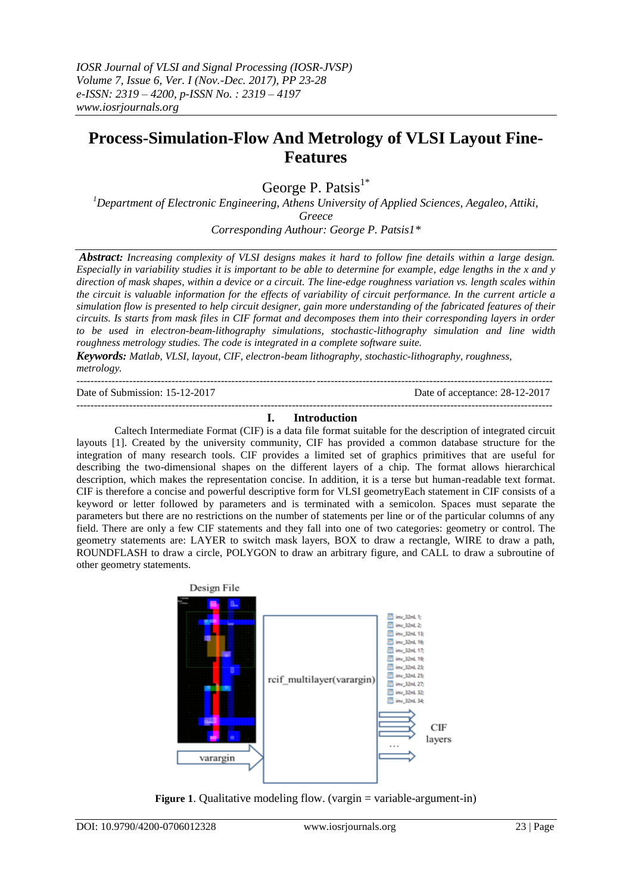# **Process-Simulation-Flow And Metrology of VLSI Layout Fine-Features**

George P. Patsis $1^*$ 

*<sup>1</sup>Department of Electronic Engineering, Athens University of Applied Sciences, Aegaleo, Attiki, Greece Corresponding Authour: George P. Patsis1\**

*Abstract: Increasing complexity of VLSI designs makes it hard to follow fine details within a large design. Especially in variability studies it is important to be able to determine for example, edge lengths in the x and y direction of mask shapes, within a device or a circuit. The line-edge roughness variation vs. length scales within the circuit is valuable information for the effects of variability of circuit performance. In the current article a simulation flow is presented to help circuit designer, gain more understanding of the fabricated features of their circuits. Is starts from mask files in CIF format and decomposes them into their corresponding layers in order to be used in electron-beam-lithography simulations, stochastic-lithography simulation and line width roughness metrology studies. The code is integrated in a complete software suite.*

*Keywords: Matlab, VLSI, layout, CIF, electron-beam lithography, stochastic-lithography, roughness, metrology.* ---------------------------------------------------------------------------------------------------------------------------------------

Date of Submission: 15-12-2017 Date of acceptance: 28-12-2017

#### --------------------------------------------------------------------------------------------------------------------------------------- **I. Introduction**

Caltech Intermediate Format (CIF) is a data file format suitable for the description of integrated circuit layouts [1]. Created by the university community, CIF has provided a common database structure for the integration of many research tools. CIF provides a limited set of graphics primitives that are useful for describing the two-dimensional shapes on the different layers of a chip. The format allows hierarchical description, which makes the representation concise. In addition, it is a terse but human-readable text format. CIF is therefore a concise and powerful descriptive form for VLSI geometryEach statement in CIF consists of a keyword or letter followed by parameters and is terminated with a semicolon. Spaces must separate the parameters but there are no restrictions on the number of statements per line or of the particular columns of any field. There are only a few CIF statements and they fall into one of two categories: geometry or control. The geometry statements are: LAYER to switch mask layers, BOX to draw a rectangle, WIRE to draw a path, ROUNDFLASH to draw a circle, POLYGON to draw an arbitrary figure, and CALL to draw a subroutine of other geometry statements.



**Figure 1.** Qualitative modeling flow. (vargin = variable-argument-in)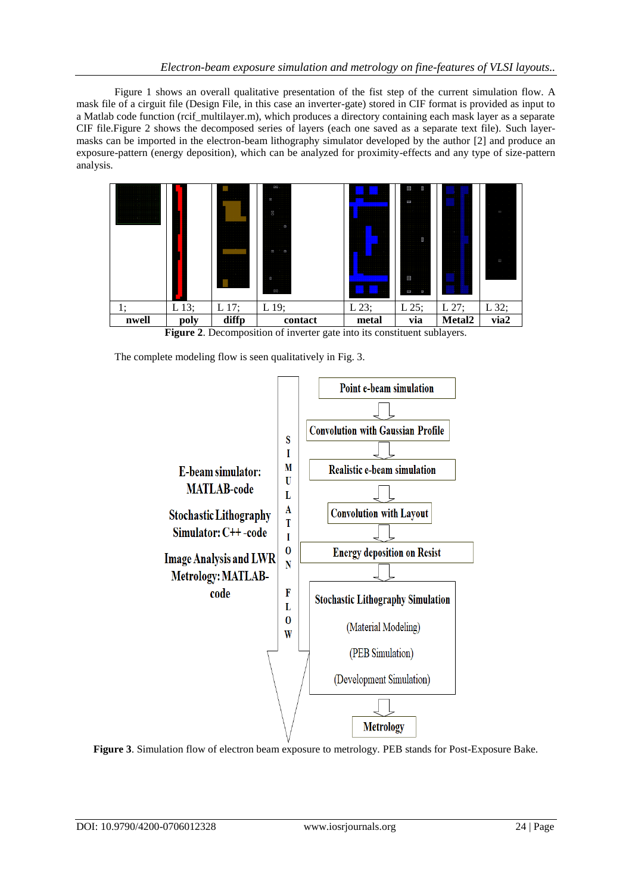Figure 1 shows an overall qualitative presentation of the fist step of the current simulation flow. A mask file of a cirguit file (Design File, in this case an inverter-gate) stored in CIF format is provided as input to a Matlab code function (rcif multilayer.m), which produces a directory containing each mask layer as a separate CIF file.Figure 2 shows the decomposed series of layers (each one saved as a separate text file). Such layermasks can be imported in the electron-beam lithography simulator developed by the author [2] and produce an exposure-pattern (energy deposition), which can be analyzed for proximity-effects and any type of size-pattern analysis.



**Figure 2**. Decomposition of inverter gate into its constituent sublayers.

The complete modeling flow is seen qualitatively in Fig. 3.



**Figure 3**. Simulation flow of electron beam exposure to metrology. PEB stands for Post-Exposure Bake.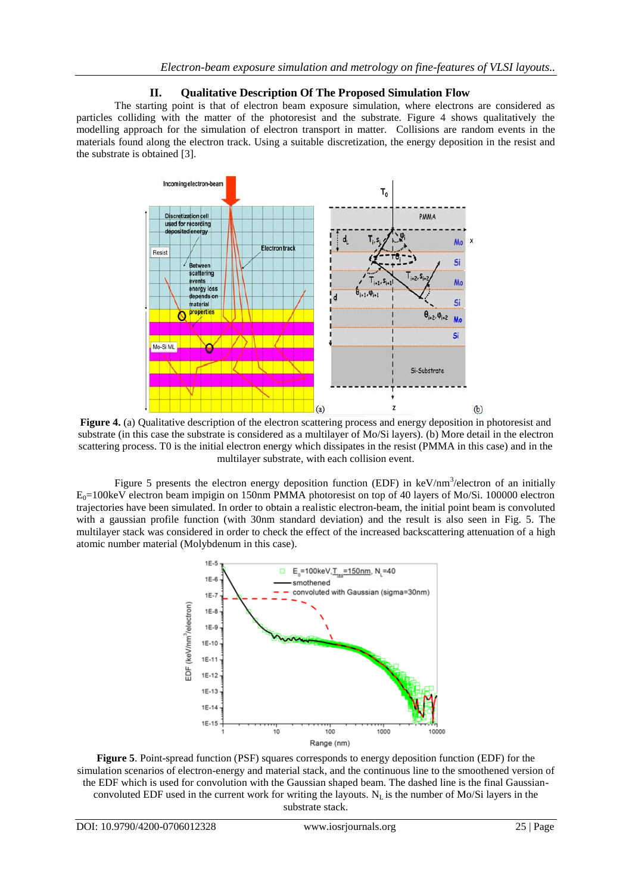## **II. Qualitative Description Of The Proposed Simulation Flow**

The starting point is that of electron beam exposure simulation, where electrons are considered as particles colliding with the matter of the photoresist and the substrate. Figure 4 shows qualitatively the modelling approach for the simulation of electron transport in matter. Collisions are random events in the materials found along the electron track. Using a suitable discretization, the energy deposition in the resist and the substrate is obtained [3].



**Figure 4.** (a) Qualitative description of the electron scattering process and energy deposition in photoresist and substrate (in this case the substrate is considered as a multilayer of Mo/Si layers). (b) More detail in the electron scattering process. T0 is the initial electron energy which dissipates in the resist (PMMA in this case) and in the multilayer substrate, with each collision event.

Figure 5 presents the electron energy deposition function (EDF) in  $keV/nm^3/electron$  of an initially  $E_0$ =100keV electron beam impigin on 150nm PMMA photoresist on top of 40 layers of Mo/Si. 100000 electron trajectories have been simulated. In order to obtain a realistic electron-beam, the initial point beam is convoluted with a gaussian profile function (with 30nm standard deviation) and the result is also seen in Fig. 5. The multilayer stack was considered in order to check the effect of the increased backscattering attenuation of a high atomic number material (Molybdenum in this case).



**Figure 5**. Point-spread function (PSF) squares corresponds to energy deposition function (EDF) for the simulation scenarios of electron-energy and material stack, and the continuous line to the smoothened version of the EDF which is used for convolution with the Gaussian shaped beam. The dashed line is the final Gaussianconvoluted EDF used in the current work for writing the layouts.  $N_L$  is the number of Mo/Si layers in the substrate stack.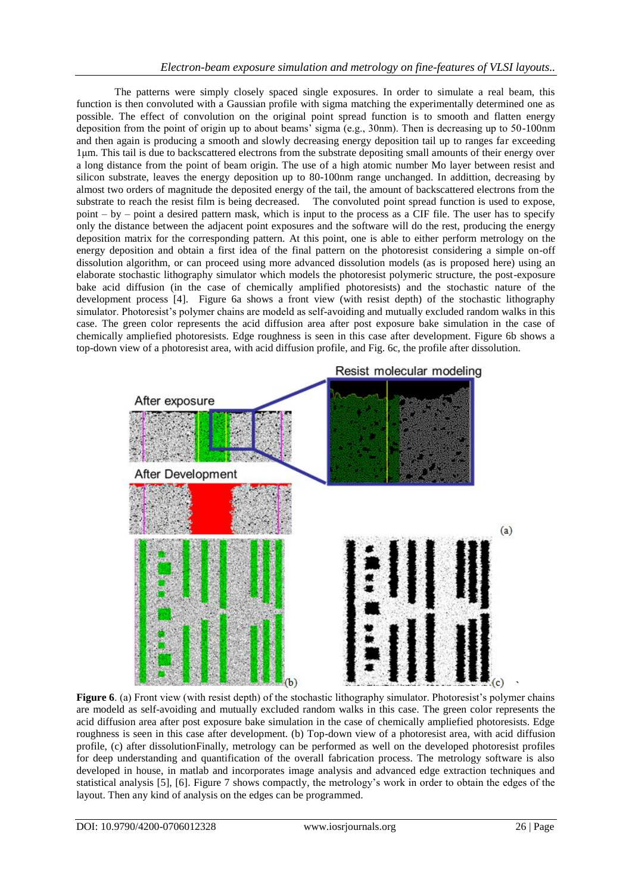The patterns were simply closely spaced single exposures. In order to simulate a real beam, this function is then convoluted with a Gaussian profile with sigma matching the experimentally determined one as possible. The effect of convolution on the original point spread function is to smooth and flatten energy deposition from the point of origin up to about beams' sigma (e.g., 30nm). Then is decreasing up to 50-100nm and then again is producing a smooth and slowly decreasing energy deposition tail up to ranges far exceeding 1μm. This tail is due to backscattered electrons from the substrate depositing small amounts of their energy over a long distance from the point of beam origin. The use of a high atomic number Mo layer between resist and silicon substrate, leaves the energy deposition up to 80-100nm range unchanged. In addittion, decreasing by almost two orders of magnitude the deposited energy of the tail, the amount of backscattered electrons from the substrate to reach the resist film is being decreased. The convoluted point spread function is used to expose, point – by – point a desired pattern mask, which is input to the process as a CIF file. The user has to specify only the distance between the adjacent point exposures and the software will do the rest, producing the energy deposition matrix for the corresponding pattern. At this point, one is able to either perform metrology on the energy deposition and obtain a first idea of the final pattern on the photoresist considering a simple on-off dissolution algorithm, or can proceed using more advanced dissolution models (as is proposed here) using an elaborate stochastic lithography simulator which models the photoresist polymeric structure, the post-exposure bake acid diffusion (in the case of chemically amplified photoresists) and the stochastic nature of the development process [4]. Figure 6a shows a front view (with resist depth) of the stochastic lithography simulator. Photoresist's polymer chains are modeld as self-avoiding and mutually excluded random walks in this case. The green color represents the acid diffusion area after post exposure bake simulation in the case of chemically ampliefied photoresists. Edge roughness is seen in this case after development. Figure 6b shows a top-down view of a photoresist area, with acid diffusion profile, and Fig. 6c, the profile after dissolution.



**Figure 6**. (a) Front view (with resist depth) of the stochastic lithography simulator. Photoresist's polymer chains are modeld as self-avoiding and mutually excluded random walks in this case. The green color represents the acid diffusion area after post exposure bake simulation in the case of chemically ampliefied photoresists. Edge roughness is seen in this case after development. (b) Top-down view of a photoresist area, with acid diffusion profile, (c) after dissolutionFinally, metrology can be performed as well on the developed photoresist profiles for deep understanding and quantification of the overall fabrication process. The metrology software is also developed in house, in matlab and incorporates image analysis and advanced edge extraction techniques and statistical analysis [5], [6]. Figure 7 shows compactly, the metrology's work in order to obtain the edges of the layout. Then any kind of analysis on the edges can be programmed.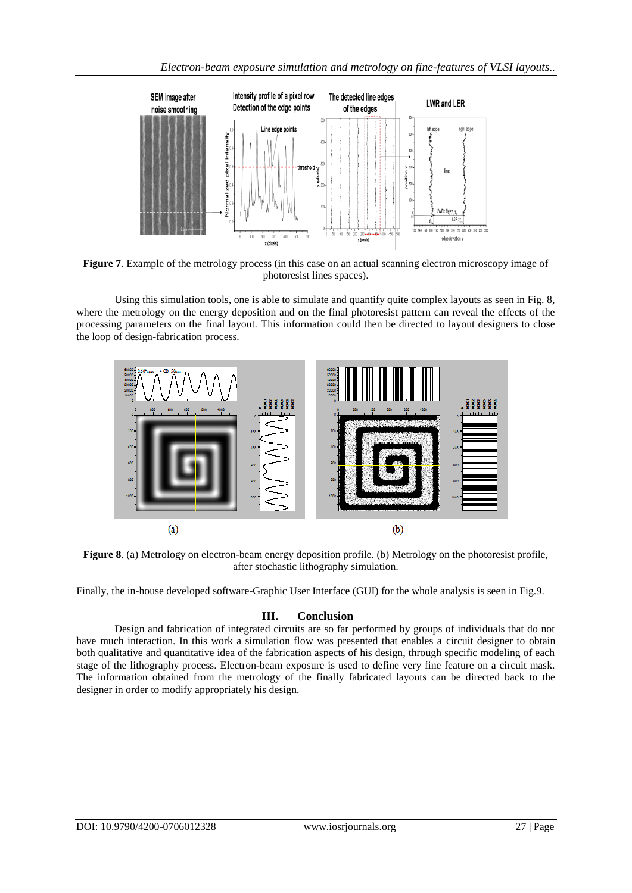

**Figure 7**. Example of the metrology process (in this case on an actual scanning electron microscopy image of photoresist lines spaces).

Using this simulation tools, one is able to simulate and quantify quite complex layouts as seen in Fig. 8, where the metrology on the energy deposition and on the final photoresist pattern can reveal the effects of the processing parameters on the final layout. This information could then be directed to layout designers to close the loop of design-fabrication process.



**Figure 8**. (a) Metrology on electron-beam energy deposition profile. (b) Metrology on the photoresist profile, after stochastic lithography simulation.

Finally, the in-house developed software-Graphic User Interface (GUI) for the whole analysis is seen in Fig.9.

## **III. Conclusion**

Design and fabrication of integrated circuits are so far performed by groups of individuals that do not have much interaction. In this work a simulation flow was presented that enables a circuit designer to obtain both qualitative and quantitative idea of the fabrication aspects of his design, through specific modeling of each stage of the lithography process. Electron-beam exposure is used to define very fine feature on a circuit mask. The information obtained from the metrology of the finally fabricated layouts can be directed back to the designer in order to modify appropriately his design.